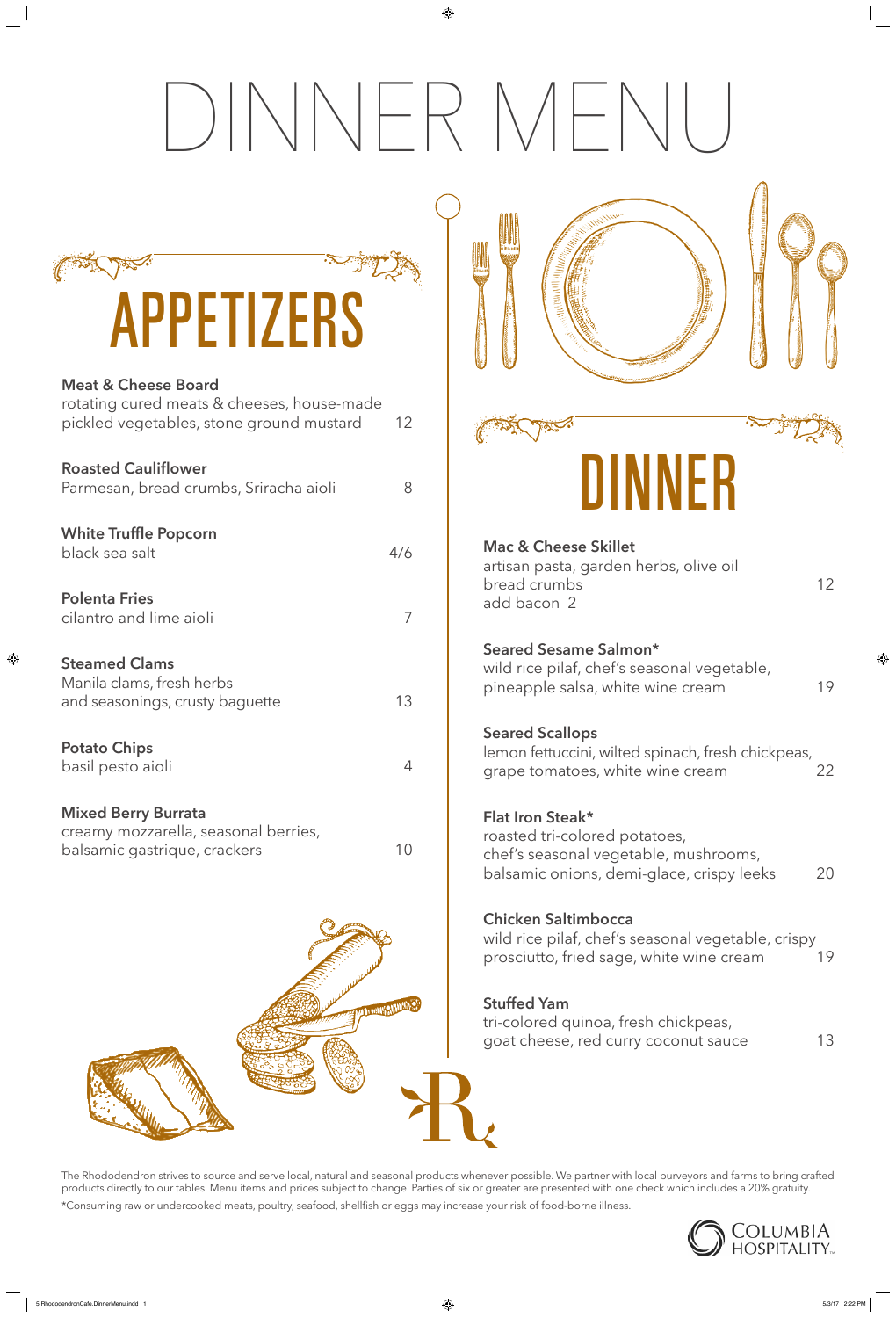# DINNER MENU

wild rice pilaf, chef's seasonal vegetable, pineapple salsa, white wine cream 19

# **Seared Sesame Salmon\***

### **Seared Scallops**

lemon fettuccini, wilted spinach, fresh chickpeas, grape tomatoes, white wine cream 22

tri-colored quinoa, fresh chickpeas, goat cheese, red curry coconut sauce 13

# **Flat Iron Steak\***



roasted tri-colored potatoes, chef's seasonal vegetable, mushrooms, balsamic onions, demi-glace, crispy leeks 20



## **Chicken Saltimbocca**

wild rice pilaf, chef's seasonal vegetable, crispy prosciutto, fried sage, white wine cream 19

# **Stuffed Yam**

| APPETIZERS |
|------------|

### **Meat & Cheese Board**

| rotating cured meats & cheeses, house-made<br>pickled vegetables, stone ground mustard             | 12  |
|----------------------------------------------------------------------------------------------------|-----|
| <b>Roasted Cauliflower</b><br>Parmesan, bread crumbs, Sriracha aioli                               | 8   |
| <b>White Truffle Popcorn</b><br>black sea salt                                                     | 4/6 |
| <b>Polenta Fries</b><br>cilantro and lime aioli                                                    | 7   |
| <b>Steamed Clams</b><br>Manila clams, fresh herbs<br>and seasonings, crusty baguette               | 13  |
| <b>Potato Chips</b><br>basil pesto aioli                                                           | 4   |
| <b>Mixed Berry Burrata</b><br>creamy mozzarella, seasonal berries,<br>balsamic gastrique, crackers | 10  |

The Rhododendron strives to source and serve local, natural and seasonal products whenever possible. We partner with local purveyors and farms to bring crafted products directly to our tables. Menu items and prices subject to change. Parties of six or greater are presented with one check which includes a 20% gratuity.

\*Consuming raw or undercooked meats, poultry, seafood, shellfish or eggs may increase your risk of food-borne illness.